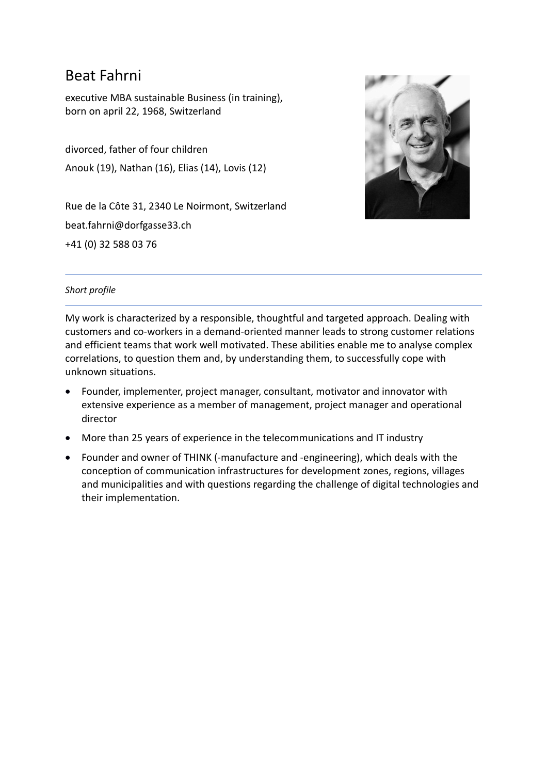# Beat Fahrni

executive MBA sustainable Business (in training), born on april 22, 1968, Switzerland

divorced, father of four children Anouk (19), Nathan (16), Elias (14), Lovis (12)

Rue de la Côte 31, 2340 Le Noirmont, Switzerland beat.fahrni@dorfgasse33.ch +41 (0) 32 588 03 76



# *Short profile*

My work is characterized by a responsible, thoughtful and targeted approach. Dealing with customers and co-workers in a demand-oriented manner leads to strong customer relations and efficient teams that work well motivated. These abilities enable me to analyse complex correlations, to question them and, by understanding them, to successfully cope with unknown situations.

- Founder, implementer, project manager, consultant, motivator and innovator with extensive experience as a member of management, project manager and operational director
- More than 25 years of experience in the telecommunications and IT industry
- Founder and owner of THINK (-manufacture and -engineering), which deals with the conception of communication infrastructures for development zones, regions, villages and municipalities and with questions regarding the challenge of digital technologies and their implementation.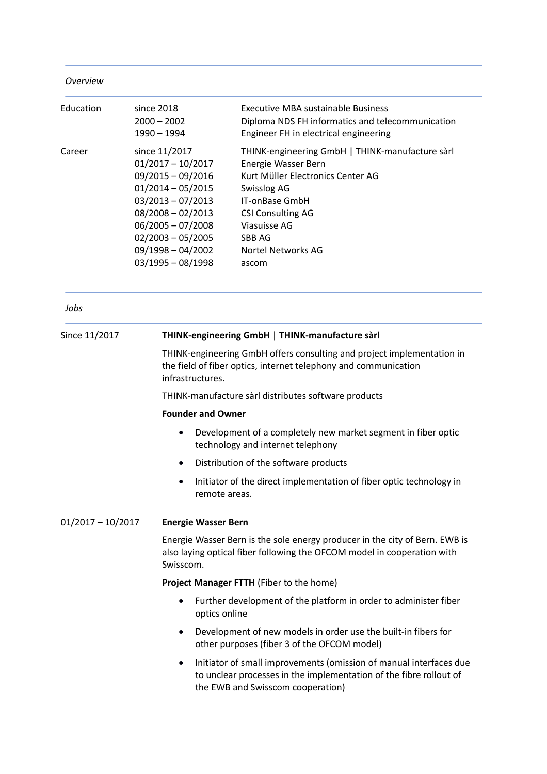| Overview |  |  |
|----------|--|--|
|          |  |  |
|          |  |  |

| Education | since 2018<br>$2000 - 2002$<br>1990 - 1994                                                                                                                                                                                   | Executive MBA sustainable Business<br>Diploma NDS FH informatics and telecommunication<br>Engineer FH in electrical engineering                                                                                                          |
|-----------|------------------------------------------------------------------------------------------------------------------------------------------------------------------------------------------------------------------------------|------------------------------------------------------------------------------------------------------------------------------------------------------------------------------------------------------------------------------------------|
| Career    | since 11/2017<br>$01/2017 - 10/2017$<br>$09/2015 - 09/2016$<br>$01/2014 - 05/2015$<br>$03/2013 - 07/2013$<br>$08/2008 - 02/2013$<br>$06/2005 - 07/2008$<br>$02/2003 - 05/2005$<br>$09/1998 - 04/2002$<br>$03/1995 - 08/1998$ | THINK-engineering GmbH   THINK-manufacture sàrl<br>Energie Wasser Bern<br>Kurt Müller Electronics Center AG<br>Swisslog AG<br><b>IT-onBase GmbH</b><br><b>CSI Consulting AG</b><br>Viasuisse AG<br>SBB AG<br>Nortel Networks AG<br>ascom |

*Jobs*

| Since 11/2017       | THINK-engineering GmbH   THINK-manufacture sàrl                                                                                                                                    |
|---------------------|------------------------------------------------------------------------------------------------------------------------------------------------------------------------------------|
|                     | THINK-engineering GmbH offers consulting and project implementation in<br>the field of fiber optics, internet telephony and communication<br>infrastructures.                      |
|                     | THINK-manufacture sàrl distributes software products                                                                                                                               |
|                     | <b>Founder and Owner</b>                                                                                                                                                           |
|                     | Development of a completely new market segment in fiber optic<br>$\bullet$<br>technology and internet telephony                                                                    |
|                     | Distribution of the software products<br>$\bullet$                                                                                                                                 |
|                     | Initiator of the direct implementation of fiber optic technology in<br>$\bullet$<br>remote areas.                                                                                  |
| $01/2017 - 10/2017$ | <b>Energie Wasser Bern</b>                                                                                                                                                         |
|                     | Energie Wasser Bern is the sole energy producer in the city of Bern. EWB is<br>also laying optical fiber following the OFCOM model in cooperation with<br>Swisscom.                |
|                     | Project Manager FTTH (Fiber to the home)                                                                                                                                           |
|                     | Further development of the platform in order to administer fiber<br>optics online                                                                                                  |
|                     | Development of new models in order use the built-in fibers for<br>$\bullet$<br>other purposes (fiber 3 of the OFCOM model)                                                         |
|                     | Initiator of small improvements (omission of manual interfaces due<br>٠<br>to unclear processes in the implementation of the fibre rollout of<br>the EWB and Swisscom cooperation) |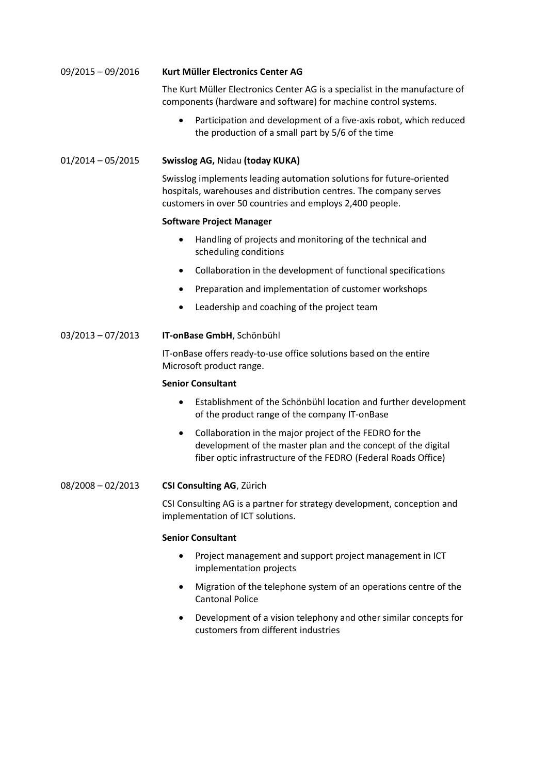# 09/2015 – 09/2016 **Kurt Muller Electronics Center AG**

The Kurt Müller Electronics Center AG is a specialist in the manufacture of components (hardware and software) for machine control systems.

 Participation and development of a five-axis robot, which reduced the production of a small part by 5/6 of the time

#### 01/2014 – 05/2015 **Swisslog AG,** Nidau **(today KUKA)**

Swisslog implements leading automation solutions for future-oriented hospitals, warehouses and distribution centres. The company serves customers in over 50 countries and employs 2,400 people.

#### **Software Project Manager**

- Handling of projects and monitoring of the technical and scheduling conditions
- Collaboration in the development of functional specifications
- Preparation and implementation of customer workshops
- Leadership and coaching of the project team

### 03/2013 – 07/2013 **IT-onBase GmbH**, Schönbuhl

IT-onBase offers ready-to-use office solutions based on the entire Microsoft product range.

#### **Senior Consultant**

- Establishment of the Schönbühl location and further development of the product range of the company IT-onBase
- Collaboration in the major project of the FEDRO for the development of the master plan and the concept of the digital fiber optic infrastructure of the FEDRO (Federal Roads Office)

#### 08/2008 – 02/2013 **CSI Consulting AG**, Zürich

CSI Consulting AG is a partner for strategy development, conception and implementation of ICT solutions.

#### **Senior Consultant**

- Project management and support project management in ICT implementation projects
- Migration of the telephone system of an operations centre of the Cantonal Police
- Development of a vision telephony and other similar concepts for customers from different industries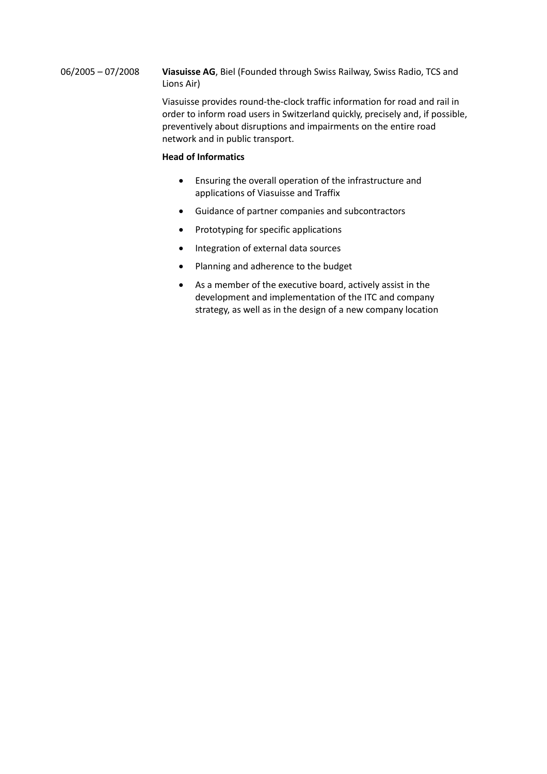06/2005 – 07/2008 **Viasuisse AG**, Biel (Founded through Swiss Railway, Swiss Radio, TCS and Lions Air)

> Viasuisse provides round-the-clock traffic information for road and rail in order to inform road users in Switzerland quickly, precisely and, if possible, preventively about disruptions and impairments on the entire road network and in public transport.

### **Head of Informatics**

- Ensuring the overall operation of the infrastructure and applications of Viasuisse and Traffix
- Guidance of partner companies and subcontractors
- Prototyping for specific applications
- Integration of external data sources
- Planning and adherence to the budget
- As a member of the executive board, actively assist in the development and implementation of the ITC and company strategy, as well as in the design of a new company location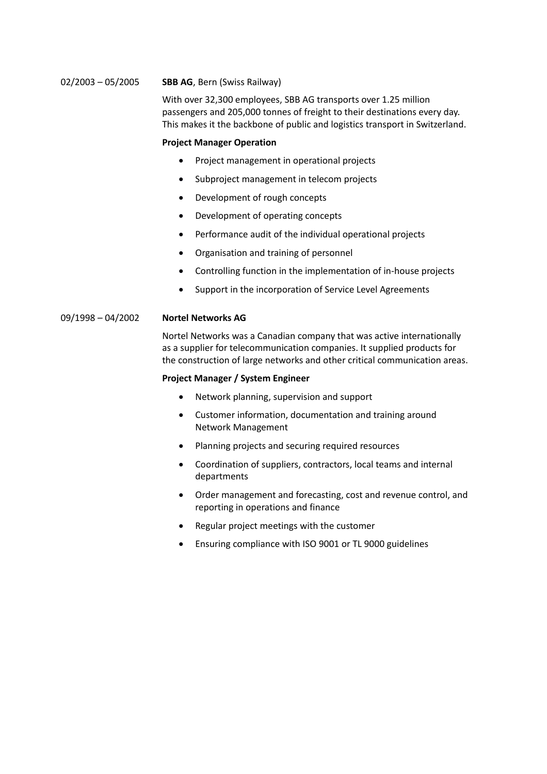#### 02/2003 – 05/2005 **SBB AG**, Bern (Swiss Railway)

With over 32,300 employees, SBB AG transports over 1.25 million passengers and 205,000 tonnes of freight to their destinations every day. This makes it the backbone of public and logistics transport in Switzerland.

#### **Project Manager Operation**

- Project management in operational projects
- Subproject management in telecom projects
- Development of rough concepts
- Development of operating concepts
- Performance audit of the individual operational projects
- Organisation and training of personnel
- Controlling function in the implementation of in-house projects
- Support in the incorporation of Service Level Agreements

#### 09/1998 – 04/2002 **Nortel Networks AG**

Nortel Networks was a Canadian company that was active internationally as a supplier for telecommunication companies. It supplied products for the construction of large networks and other critical communication areas.

#### **Project Manager / System Engineer**

- Network planning, supervision and support
- Customer information, documentation and training around Network Management
- Planning projects and securing required resources
- Coordination of suppliers, contractors, local teams and internal departments
- Order management and forecasting, cost and revenue control, and reporting in operations and finance
- Regular project meetings with the customer
- Ensuring compliance with ISO 9001 or TL 9000 guidelines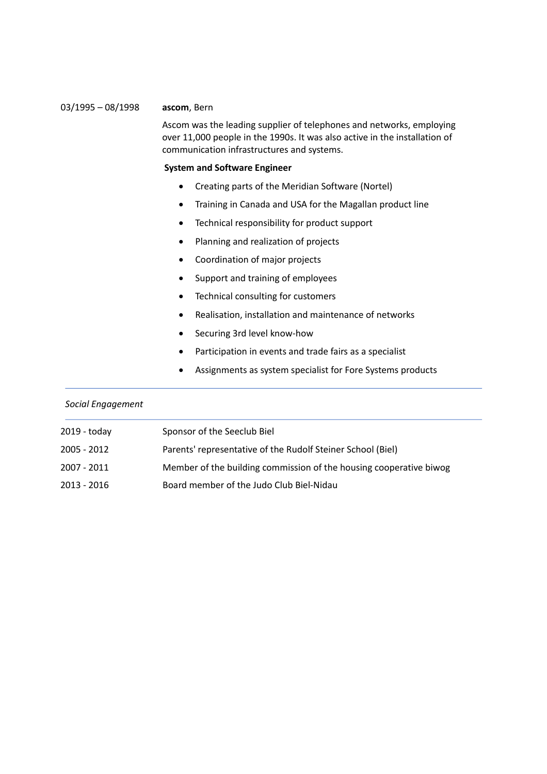#### 03/1995 – 08/1998 **ascom**, Bern

Ascom was the leading supplier of telephones and networks, employing over 11,000 people in the 1990s. It was also active in the installation of communication infrastructures and systems.

#### **System and Software Engineer**

- Creating parts of the Meridian Software (Nortel)
- Training in Canada and USA for the Magallan product line
- Technical responsibility for product support
- Planning and realization of projects
- Coordination of major projects
- Support and training of employees
- Technical consulting for customers
- Realisation, installation and maintenance of networks
- Securing 3rd level know-how
- Participation in events and trade fairs as a specialist
- Assignments as system specialist for Fore Systems products

# *Social Engagement* 2019 - today Sponsor of the Seeclub Biel 2005 - 2012 Parents' representative of the Rudolf Steiner School (Biel) 2007 - 2011 Member of the building commission of the housing cooperative biwog 2013 - 2016 Board member of the Judo Club Biel-Nidau